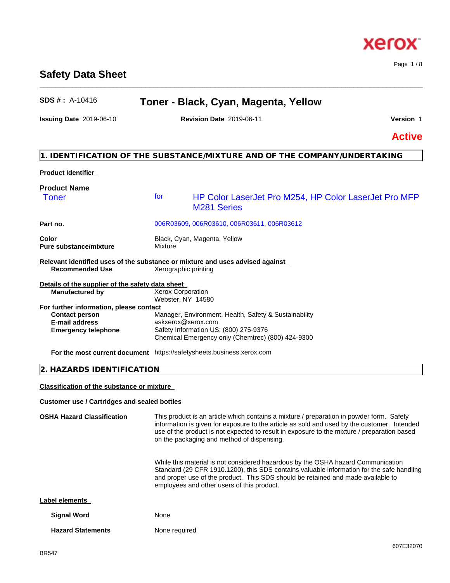## **Safety Data Sheet**

## **SDS # :** A-10416 **Toner - Black, Cyan, Magenta, Yellow**

\_\_\_\_\_\_\_\_\_\_\_\_\_\_\_\_\_\_\_\_\_\_\_\_\_\_\_\_\_\_\_\_\_\_\_\_\_\_\_\_\_\_\_\_\_\_\_\_\_\_\_\_\_\_\_\_\_\_\_\_\_\_\_\_\_\_\_\_\_\_\_\_\_\_\_\_\_\_\_\_\_\_\_\_\_\_\_\_\_\_\_\_\_\_

**Issuing Date** 2019-06-10 **Revision Date** 2019-06-11 **Version** 1

Page 1 / 8

**Active**

## **1. IDENTIFICATION OF THE SUBSTANCE/MIXTURE AND OF THE COMPANY/UNDERTAKING**

#### **Product Identifier**

| <b>Product Name</b>                                                                                             |                          |                                                                             |  |  |
|-----------------------------------------------------------------------------------------------------------------|--------------------------|-----------------------------------------------------------------------------|--|--|
| <b>Toner</b>                                                                                                    | for                      | HP Color LaserJet Pro M254, HP Color LaserJet Pro MFP<br><b>M281 Series</b> |  |  |
| Part no.                                                                                                        |                          | 006R03609, 006R03610, 006R03611, 006R03612                                  |  |  |
| Color<br><b>Pure substance/mixture</b>                                                                          | Mixture                  | Black, Cyan, Magenta, Yellow                                                |  |  |
| Relevant identified uses of the substance or mixture and uses advised against                                   |                          |                                                                             |  |  |
| <b>Recommended Use</b>                                                                                          |                          | Xerographic printing                                                        |  |  |
| Details of the supplier of the safety data sheet                                                                |                          |                                                                             |  |  |
| <b>Manufactured by</b>                                                                                          | <b>Xerox Corporation</b> |                                                                             |  |  |
|                                                                                                                 | Webster, NY 14580        |                                                                             |  |  |
| For further information, please contact                                                                         |                          |                                                                             |  |  |
| <b>Contact person</b>                                                                                           |                          | Manager, Environment, Health, Safety & Sustainability                       |  |  |
| <b>E-mail address</b>                                                                                           | askxerox@xerox.com       |                                                                             |  |  |
| <b>Emergency telephone</b>                                                                                      |                          | Safety Information US: (800) 275-9376                                       |  |  |
|                                                                                                                 |                          | Chemical Emergency only (Chemtrec) (800) 424-9300                           |  |  |
| the contract of the contract of the contract of the contract of the contract of the contract of the contract of | .                        |                                                                             |  |  |

**For the most current document** https://safetysheets.business.xerox.com

### **2. HAZARDS IDENTIFICATION**

**Classification of the substance or mixture**

#### **Customer use / Cartridges and sealed bottles**

| <b>OSHA Hazard Classification</b> | This product is an article which contains a mixture / preparation in powder form. Safety<br>information is given for exposure to the article as sold and used by the customer. Intended<br>use of the product is not expected to result in exposure to the mixture / preparation based<br>on the packaging and method of dispensing. |  |  |
|-----------------------------------|--------------------------------------------------------------------------------------------------------------------------------------------------------------------------------------------------------------------------------------------------------------------------------------------------------------------------------------|--|--|
|                                   | While this material is not considered hazardous by the OSHA hazard Communication<br>Standard (29 CFR 1910.1200), this SDS contains valuable information for the safe handling<br>and proper use of the product. This SDS should be retained and made available to<br>employees and other users of this product.                      |  |  |
| Label elements                    |                                                                                                                                                                                                                                                                                                                                      |  |  |
| <b>Signal Word</b>                | None                                                                                                                                                                                                                                                                                                                                 |  |  |
| <b>Hazard Statements</b>          | None required                                                                                                                                                                                                                                                                                                                        |  |  |

# **Xerox**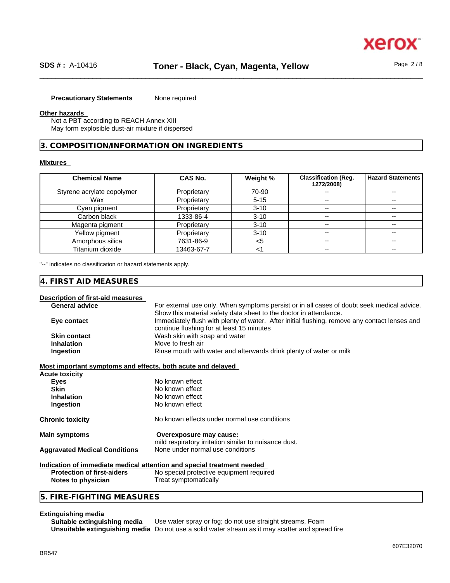#### **Precautionary Statements** None required

#### **Other hazards**

Not a PBT according to REACH Annex XIII May form explosible dust-air mixture if dispersed

#### **3. COMPOSITION/INFORMATION ON INGREDIENTS**

#### **Mixtures**

| <b>Chemical Name</b>       | <b>CAS No.</b> | Weight % | <b>Classification (Reg.</b><br>1272/2008) | Hazard Statements        |
|----------------------------|----------------|----------|-------------------------------------------|--------------------------|
| Styrene acrylate copolymer | Proprietary    | 70-90    | $\sim$                                    | $\overline{\phantom{a}}$ |
| Wax                        | Proprietary    | $5 - 15$ | $\sim$                                    | $\sim$ $\sim$            |
| Cyan pigment               | Proprietary    | $3 - 10$ | $\overline{\phantom{a}}$                  | $\overline{\phantom{a}}$ |
| Carbon black               | 1333-86-4      | $3 - 10$ | $\sim$ $\sim$                             | $\sim$ $\sim$            |
| Magenta pigment            | Proprietary    | $3 - 10$ | $\overline{\phantom{a}}$                  | $- -$                    |
| Yellow pigment             | Proprietary    | $3 - 10$ | $\sim$ $\sim$                             |                          |
| Amorphous silica           | 7631-86-9      | <5       | $\overline{\phantom{a}}$                  | --                       |
| Titanium dioxide           | 13463-67-7     | $\leq$   | $\overline{\phantom{m}}$                  | $\overline{\phantom{a}}$ |

"--" indicates no classification or hazard statements apply.

#### **4. FIRST AID MEASURES**

#### **Description of first-aid measures**

| For external use only. When symptoms persist or in all cases of doubt seek medical advice.    |
|-----------------------------------------------------------------------------------------------|
| Show this material safety data sheet to the doctor in attendance.                             |
| Immediately flush with plenty of water. After initial flushing, remove any contact lenses and |
| continue flushing for at least 15 minutes                                                     |
| Wash skin with soap and water                                                                 |
| Move to fresh air                                                                             |
| Rinse mouth with water and afterwards drink plenty of water or milk                           |
|                                                                                               |

#### **Most important symptoms and effects, both acute and delayed**

| <b>Acute toxicity</b>                |                                                                                  |
|--------------------------------------|----------------------------------------------------------------------------------|
| <b>Eves</b>                          | No known effect                                                                  |
| <b>Skin</b>                          | No known effect                                                                  |
| <b>Inhalation</b>                    | No known effect                                                                  |
| Ingestion                            | No known effect                                                                  |
| <b>Chronic toxicity</b>              | No known effects under normal use conditions                                     |
| <b>Main symptoms</b>                 | Overexposure may cause:<br>mild respiratory irritation similar to nuisance dust. |
| <b>Aggravated Medical Conditions</b> | None under normal use conditions                                                 |
|                                      |                                                                                  |

#### **Indication of immediate medical attention and special treatment needed**

| <b>Protection of first-aiders</b> | No special protective equipment required |
|-----------------------------------|------------------------------------------|
| Notes to physician                | Treat symptomatically                    |

#### **5. FIRE-FIGHTING MEASURES**

**Extinguishing media** Use water spray or fog; do not use straight streams, Foam **Unsuitable extinguishing media** Do not use a solid water stream as it may scatterand spread fire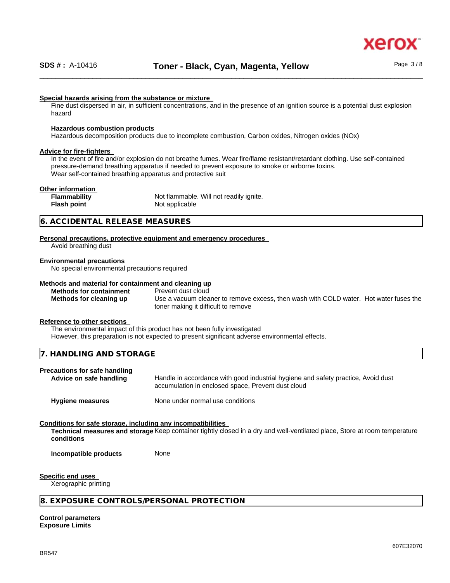

#### **Special hazards arising from the substance or mixture**

Fine dust dispersed in air, in sufficient concentrations, and in the presence of an ignition source is a potential dust explosion hazard

#### **Hazardous combustion products**

Hazardous decomposition products due to incomplete combustion, Carbon oxides, Nitrogen oxides (NOx)

#### **Advice for fire-fighters**

In the event of fire and/or explosion do not breathe fumes. Wear fire/flame resistant/retardant clothing. Use self-contained pressure-demand breathing apparatus if needed to prevent exposure to smoke or airborne toxins. Wear self-contained breathing apparatus and protective suit

#### **Other information**

**Flammability** Not flammable. Will not readily ignite. **Flash point** Not applicable

#### **6. ACCIDENTAL RELEASE MEASURES**

#### **Personal precautions, protective equipment and emergency procedures**

Avoid breathing dust

#### **Environmental precautions**

No special environmental precautions required

#### **Methods and material for containment and cleaning up**

**Methods for containment** Prevent dust cloud

**Methods for cleaning up** Use a vacuum cleaner to remove excess, then wash with COLD water. Hot water fuses the toner making it difficult to remove

#### **Reference to other sections**

The environmental impact of this product has not been fully investigated

However, this preparation is not expected to present significant adverse environmental effects.

| $     -$<br>$\prime$<br>$\mathbf{A}$<br>1 N<br>.<br>.<br>◡<br>. . |  |
|-------------------------------------------------------------------|--|
|                                                                   |  |

#### **Precautions for safe handling**

**Advice on safe handling** Handle in accordance with good industrial hygiene and safety practice, Avoid dust accumulation in enclosed space, Prevent dust cloud

**Hygiene measures** None under normal use conditions

#### **Conditions for safe storage, including any incompatibilities**

**Technical measures and storage** Keep container tightly closed in a dry and well-ventilated place, Store at room temperature **conditions**

**Incompatible products** None

#### **Specific end uses**

Xerographic printing

#### **8. EXPOSURE CONTROLS/PERSONAL PROTECTION**

**Control parameters Exposure Limits**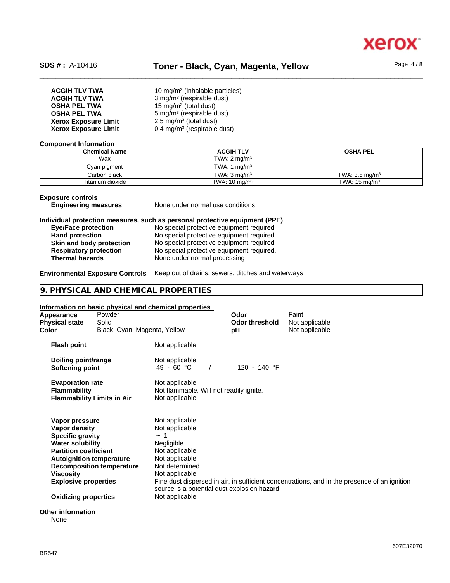

## SDS #: A-10416 **Toner - Black, Cyan, Magenta, Yellow** Page 4/8

| <b>ACGIH TLV TWA</b>        | 10 mg/m <sup>3</sup> (inhalable particles) |
|-----------------------------|--------------------------------------------|
| <b>ACGIH TLV TWA</b>        | 3 mg/m <sup>3</sup> (respirable dust)      |
| <b>OSHA PEL TWA</b>         | 15 mg/m <sup>3</sup> (total dust)          |
| <b>OSHA PEL TWA</b>         | 5 mg/m <sup>3</sup> (respirable dust)      |
| <b>Xerox Exposure Limit</b> | 2.5 mg/m <sup>3</sup> (total dust)         |
| <b>Xerox Exposure Limit</b> | 0.4 mg/m <sup>3</sup> (respirable dust)    |

#### **Component Information**

| <b>Chemical Name</b> | <b>ACGIH TLV</b>         | <b>OSHA PEL</b>           |
|----------------------|--------------------------|---------------------------|
| Wax                  | TWA: $2 \text{ mg/m}^3$  |                           |
| Cyan pigment         | TWA: 1 $mq/m3$           |                           |
| Carbon black         | TWA: $3 \text{ ma/m}^3$  | TWA: $3.5 \text{ ma/m}^3$ |
| Titanium dioxide     | TWA: $10 \text{ mg/m}^3$ | TWA: $15 \text{ mg/m}^3$  |

#### **Exposure controls**

**Engineering measures** None under normal use conditions

#### **Individual protection measures, such as personal protective equipment (PPE)**

| <b>Eye/Face protection</b>    | No special protective equipment required  |
|-------------------------------|-------------------------------------------|
| <b>Hand protection</b>        | No special protective equipment required  |
| Skin and body protection      | No special protective equipment required  |
| <b>Respiratory protection</b> | No special protective equipment required. |
| <b>Thermal hazards</b>        | None under normal processing              |

#### **Environmental Exposure Controls** Keep out of drains, sewers, ditches and waterways

#### **9. PHYSICAL AND CHEMICAL PROPERTIES**

#### **Information on basic physical and chemical properties**

| Appearance<br><b>Physical state</b><br>Color                                                                                                                                                                                        | Powder<br>Solid<br>Black, Cyan, Magenta, Yellow |                                                                                                                                                                                                     | <b>Odor</b><br><b>Odor threshold</b><br>рH | Faint<br>Not applicable<br>Not applicable                                                    |
|-------------------------------------------------------------------------------------------------------------------------------------------------------------------------------------------------------------------------------------|-------------------------------------------------|-----------------------------------------------------------------------------------------------------------------------------------------------------------------------------------------------------|--------------------------------------------|----------------------------------------------------------------------------------------------|
| <b>Flash point</b>                                                                                                                                                                                                                  |                                                 | Not applicable                                                                                                                                                                                      |                                            |                                                                                              |
| Boiling point/range<br>Softening point                                                                                                                                                                                              |                                                 | Not applicable<br>49 - 60 °C                                                                                                                                                                        | 120 - 140 °F                               |                                                                                              |
| <b>Evaporation rate</b><br><b>Flammability</b>                                                                                                                                                                                      | <b>Flammability Limits in Air</b>               | Not applicable<br>Not flammable. Will not readily ignite.<br>Not applicable                                                                                                                         |                                            |                                                                                              |
| Vapor pressure<br>Vapor density<br><b>Specific gravity</b><br><b>Water solubility</b><br><b>Partition coefficient</b><br><b>Autoignition temperature</b><br>Viscosity<br><b>Explosive properties</b><br><b>Oxidizing properties</b> | <b>Decomposition temperature</b>                | Not applicable<br>Not applicable<br>$\sim$ 1<br>Negligible<br>Not applicable<br>Not applicable<br>Not determined<br>Not applicable<br>source is a potential dust explosion hazard<br>Not applicable |                                            | Fine dust dispersed in air, in sufficient concentrations, and in the presence of an ignition |
| Othar infarmation                                                                                                                                                                                                                   |                                                 |                                                                                                                                                                                                     |                                            |                                                                                              |

#### **Other information** None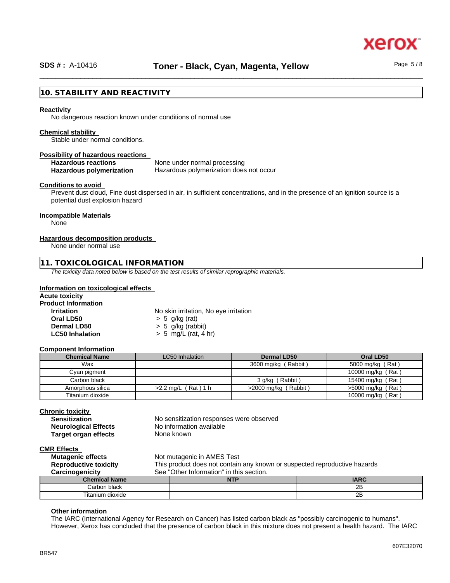

xero

## **10. STABILITY AND REACTIVITY**

#### **Reactivity**

No dangerous reaction known under conditions of normal use

#### **Chemical stability**

Stable under normal conditions.

#### **Possibility of hazardous reactions**

Hazardous reactions **None under normal processing** 

**Hazardous polymerization** Hazardous polymerization does not occur

#### **Conditions to avoid**

Prevent dust cloud, Fine dust dispersed in air, in sufficient concentrations, and in the presence of an ignition source is a potential dust explosion hazard

#### **Incompatible Materials**

None

#### **Hazardous decomposition products**

None under normal use

#### **11. TOXICOLOGICAL INFORMATION**

*The toxicity data noted below is based on the test results of similar reprographic materials.*

#### **Information on toxicological effects**

| <b>Acute toxicity</b>      |                                       |
|----------------------------|---------------------------------------|
| <b>Product Information</b> |                                       |
| <b>Irritation</b>          | No skin irritation, No eye irritation |
| Oral LD50                  | $> 5$ g/kg (rat)                      |
| Dermal LD50                | $> 5$ g/kg (rabbit)                   |
| <b>LC50 Inhalation</b>     | $> 5$ mg/L (rat, 4 hr)                |

#### **Component Information**

| <b>Chemical Name</b> | LC50 Inhalation          | <b>Dermal LD50</b>      | Oral LD50           |
|----------------------|--------------------------|-------------------------|---------------------|
| Wax                  |                          | 3600 mg/kg (Rabbit)     | 5000 mg/kg (Rat)    |
| Cyan pigment         |                          |                         | 10000 mg/kg (Rat)   |
| Carbon black         |                          | 3 g/kg (Rabbit)         | 15400 mg/kg (Rat)   |
| Amorphous silica     | $(Rat)$ 1 h<br>>2.2 ma/L | $>$ 2000 mg/kg (Rabbit) | $>5000$ mg/kg (Rat) |
| Titanium dioxide     |                          |                         | 10000 mg/kg (Rat)   |

#### **Chronic toxicity**

| <b>Sensitization</b>        |
|-----------------------------|
| <b>Neurological Effects</b> |
| <b>Target organ effects</b> |

No sensitization responses were observed **No information available None known** 

#### **CMR Effects**

| -                            |                                                                           |                                          |             |  |
|------------------------------|---------------------------------------------------------------------------|------------------------------------------|-------------|--|
| <b>Mutagenic effects</b>     |                                                                           | Not mutagenic in AMES Test               |             |  |
| <b>Reproductive toxicity</b> | This product does not contain any known or suspected reproductive hazards |                                          |             |  |
| Carcinogenicity              |                                                                           | See "Other Information" in this section. |             |  |
| <b>Chemical Name</b>         |                                                                           | <b>NTP</b>                               | <b>IARC</b> |  |
| Carbon black                 |                                                                           |                                          | 2B          |  |
| Titanium dioxide             |                                                                           |                                          | 2B          |  |

#### **Other information**

The IARC (International Agency for Research on Cancer) has listed carbon black as "possibly carcinogenic to humans". However, Xerox has concluded that the presence of carbon black in this mixture does not present a health hazard. The IARC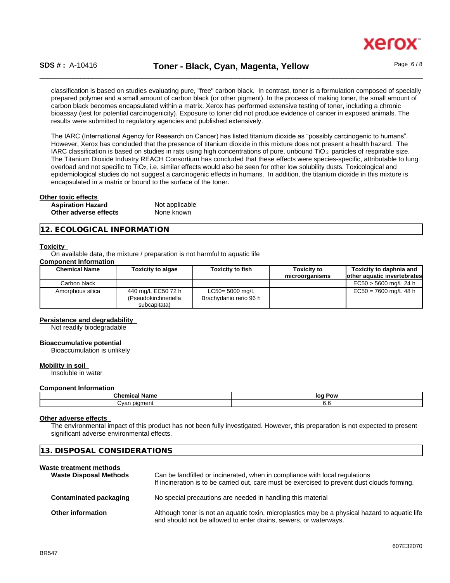

classification is based on studies evaluating pure, "free" carbon black. In contrast, toner is a formulation composed of specially prepared polymer and a small amount of carbon black (or other pigment). In the process of making toner, the small amount of carbon black becomes encapsulated within a matrix. Xerox has performed extensive testing of toner, including a chronic bioassay (test for potential carcinogenicity). Exposure to toner did not produce evidence of cancer in exposed animals. The results were submitted to regulatory agencies and published extensively.

The IARC (International Agency for Research on Cancer) has listed titanium dioxide as "possibly carcinogenic to humans". However, Xerox has concluded that the presence of titanium dioxide in this mixture does not present a health hazard. The IARC classification is based on studies in rats using high concentrations of pure, unbound TiO 2 particles of respirable size. The Titanium Dioxide Industry REACH Consortium has concluded that these effects were species-specific, attributable to lung overload and not specific to TiO<sub>2</sub>, i.e. similar effects would also be seen for other low solubility dusts. Toxicological and epidemiological studies do not suggest a carcinogenic effects in humans. In addition, the titanium dioxide in this mixture is encapsulated in a matrix or bound to the surface of the toner.

## **Other toxic effects**

| <b>Aspiration Hazard</b> | Not applicable |
|--------------------------|----------------|
| Other adverse effects    | None known     |

#### **12. ECOLOGICAL INFORMATION**

#### **Toxicity**

On available data, the mixture / preparation is not harmful to aquatic life

#### **Component Information**

| <b>Chemical Name</b> | <b>Toxicity to algae</b>                                   | <b>Toxicity to fish</b>                      | Toxicitv to<br>microorganisms | Toxicity to daphnia and<br>lother aquatic invertebrates |
|----------------------|------------------------------------------------------------|----------------------------------------------|-------------------------------|---------------------------------------------------------|
| Carbon black         |                                                            |                                              |                               | EC50 > 5600 mg/L 24 h                                   |
| Amorphous silica     | 440 mg/L EC50 72 h<br>(Pseudokirchneriella<br>subcapitata) | $LC50 = 5000$ mg/L<br>Brachydanio rerio 96 h |                               | EC50 = 7600 mg/L 48 h                                   |

#### **Persistence and degradability**

Not readily biodegradable

#### **Bioaccumulative potential**

Bioaccumulation is unlikely

#### **Mobility in soil**

Insoluble in water

#### **Component Information**

| .<br>M.<br><br>               | lor<br>Pow |
|-------------------------------|------------|
| ~~<br>---<br>100 <sup>r</sup> | v.c        |

#### **Other adverse effects**

The environmental impact of this product has not been fully investigated. However, this preparation is not expected to present significant adverse environmental effects.

| 13. DISPOSAL CONSIDERATIONS                              |                                                                                                                                                                             |  |
|----------------------------------------------------------|-----------------------------------------------------------------------------------------------------------------------------------------------------------------------------|--|
| Waste treatment methods<br><b>Waste Disposal Methods</b> | Can be landfilled or incinerated, when in compliance with local regulations<br>If incineration is to be carried out, care must be exercised to prevent dust clouds forming. |  |
| Contaminated packaging                                   | No special precautions are needed in handling this material                                                                                                                 |  |
| <b>Other information</b>                                 | Although toner is not an aquatic toxin, microplastics may be a physical hazard to aquatic life<br>and should not be allowed to enter drains, sewers, or waterways.          |  |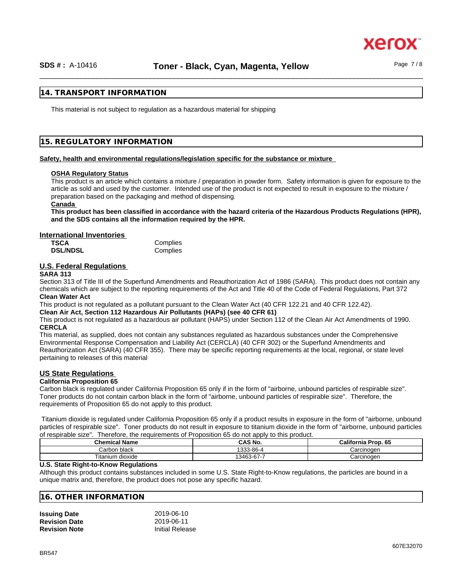#### **14. TRANSPORT INFORMATION**

This material is not subject to regulation as a hazardous material for shipping

#### **15. REGULATORY INFORMATION**

#### **Safety, health and environmental regulations/legislation specific for the substance or mixture**

#### **OSHA Regulatory Status**

This product is an article which contains a mixture / preparation in powder form. Safety information is given for exposure to the article as sold and used by the customer. Intended use of the product is not expected to result in exposure to the mixture / preparation based on the packaging and method of dispensing.

#### **Canada**

This product has been classified in accordance with the hazard criteria of the Hazardous Products Regulations (HPR). **and the SDS contains all the information required by the HPR.**

#### **International Inventories**

| <b>TSCA</b>     | Complies |
|-----------------|----------|
| <b>DSL/NDSL</b> | Complies |

#### **U.S. Federal Regulations**

#### **SARA 313**

Section 313 of Title III of the Superfund Amendments and Reauthorization Act of 1986 (SARA). This product does not contain any chemicals which are subject to the reporting requirements of the Act and Title 40 of the Code of Federal Regulations, Part 372 **Clean Water Act**

This product is not regulated as a pollutant pursuant to the Clean Water Act (40 CFR 122.21 and 40 CFR 122.42).

**Clean Air Act,Section 112 Hazardous Air Pollutants (HAPs) (see 40 CFR 61)**

This product is not regulated as a hazardous air pollutant (HAPS) under Section 112 of the Clean Air Act Amendments of 1990. **CERCLA**

This material, as supplied, does not contain any substances regulated as hazardous substances under the Comprehensive Environmental Response Compensation and Liability Act (CERCLA) (40 CFR 302) or the Superfund Amendments and Reauthorization Act (SARA) (40 CFR 355). There may be specific reporting requirements at the local, regional, or state level pertaining to releases of this material

#### **US State Regulations**

#### **California Proposition 65**

Carbon black is regulated under California Proposition 65 only if in the form of "airborne, unbound particles of respirable size". Toner products do not contain carbon black in the form of "airborne, unbound particles of respirable size". Therefore, the requirements of Proposition 65 do not apply to this product.

Titanium dioxide is regulated under California Proposition 65 only if a product results in exposure in the form of "airborne, unbound particles of respirable size". Toner products do not result in exposure to titanium dioxide in the form of "airborne, unbound particles of respirable size". Therefore, the requirements of Proposition 65 do not apply to this product.

| <b>Chemical Name</b> | CAS No.    | California Prop. 65 |
|----------------------|------------|---------------------|
| Carbon black         | 1333-86-4  | Carcinoɑen          |
| Titanium dioxide     | 13463-67-7 | Carcinogen          |

#### **U.S. State Right-to-Know Regulations**

Although this product contains substances included in some U.S. State Right-to-Know regulations, the particles are bound in a unique matrix and, therefore, the product does not pose any specific hazard.

#### **16. OTHER INFORMATION**

| <b>Issuing Date</b>  | 2019-06-10             |
|----------------------|------------------------|
| <b>Revision Date</b> | 2019-06-11             |
| <b>Revision Note</b> | <b>Initial Release</b> |